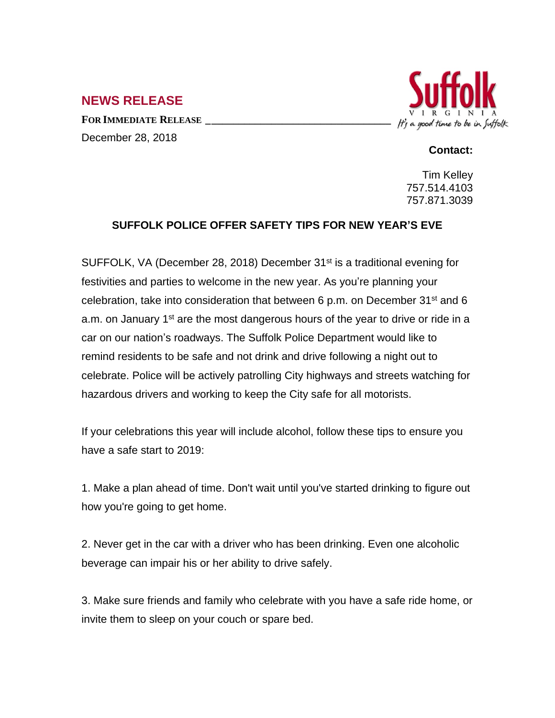## **NEWS RELEASE**

**FOR IMMEDIATE RELEASE \_\_\_\_\_\_\_\_\_\_\_\_\_\_\_\_\_\_\_\_\_\_\_\_\_\_\_\_\_\_\_\_\_\_** December 28, 2018



## **Contact:**

Tim Kelley 757.514.4103 757.871.3039

## **SUFFOLK POLICE OFFER SAFETY TIPS FOR NEW YEAR'S EVE**

SUFFOLK, VA (December 28, 2018) December 31st is a traditional evening for festivities and parties to welcome in the new year. As you're planning your celebration, take into consideration that between 6 p.m. on December 31<sup>st</sup> and 6 a.m. on January 1<sup>st</sup> are the most dangerous hours of the year to drive or ride in a car on our nation's roadways. The Suffolk Police Department would like to remind residents to be safe and not drink and drive following a night out to celebrate. Police will be actively patrolling City highways and streets watching for hazardous drivers and working to keep the City safe for all motorists.

If your celebrations this year will include alcohol, follow these tips to ensure you have a safe start to 2019:

1. Make a plan ahead of time. Don't wait until you've started drinking to figure out how you're going to get home.

2. Never get in the car with a driver who has been drinking. Even one alcoholic beverage can impair his or her ability to drive safely.

3. Make sure friends and family who celebrate with you have a safe ride home, or invite them to sleep on your couch or spare bed.